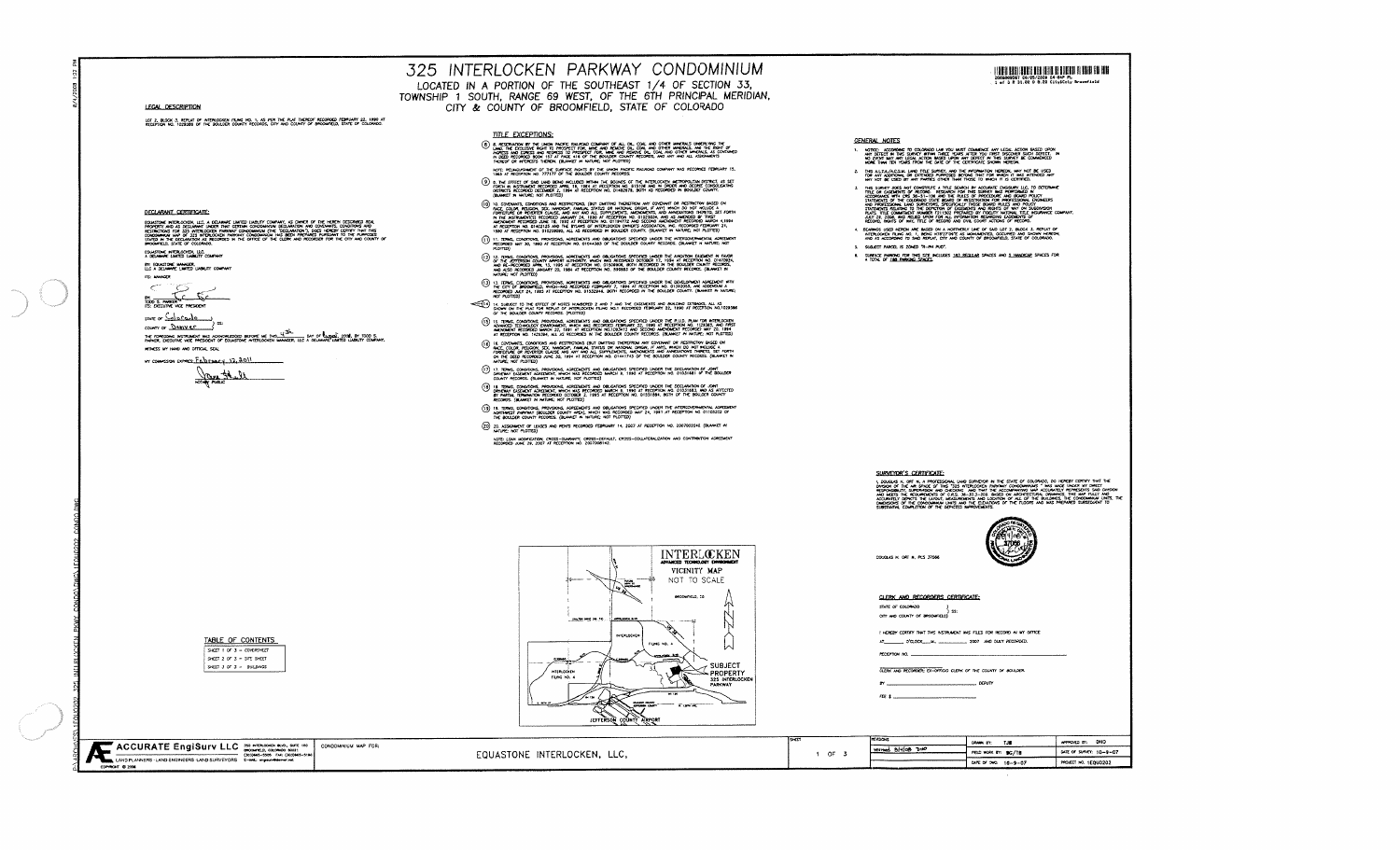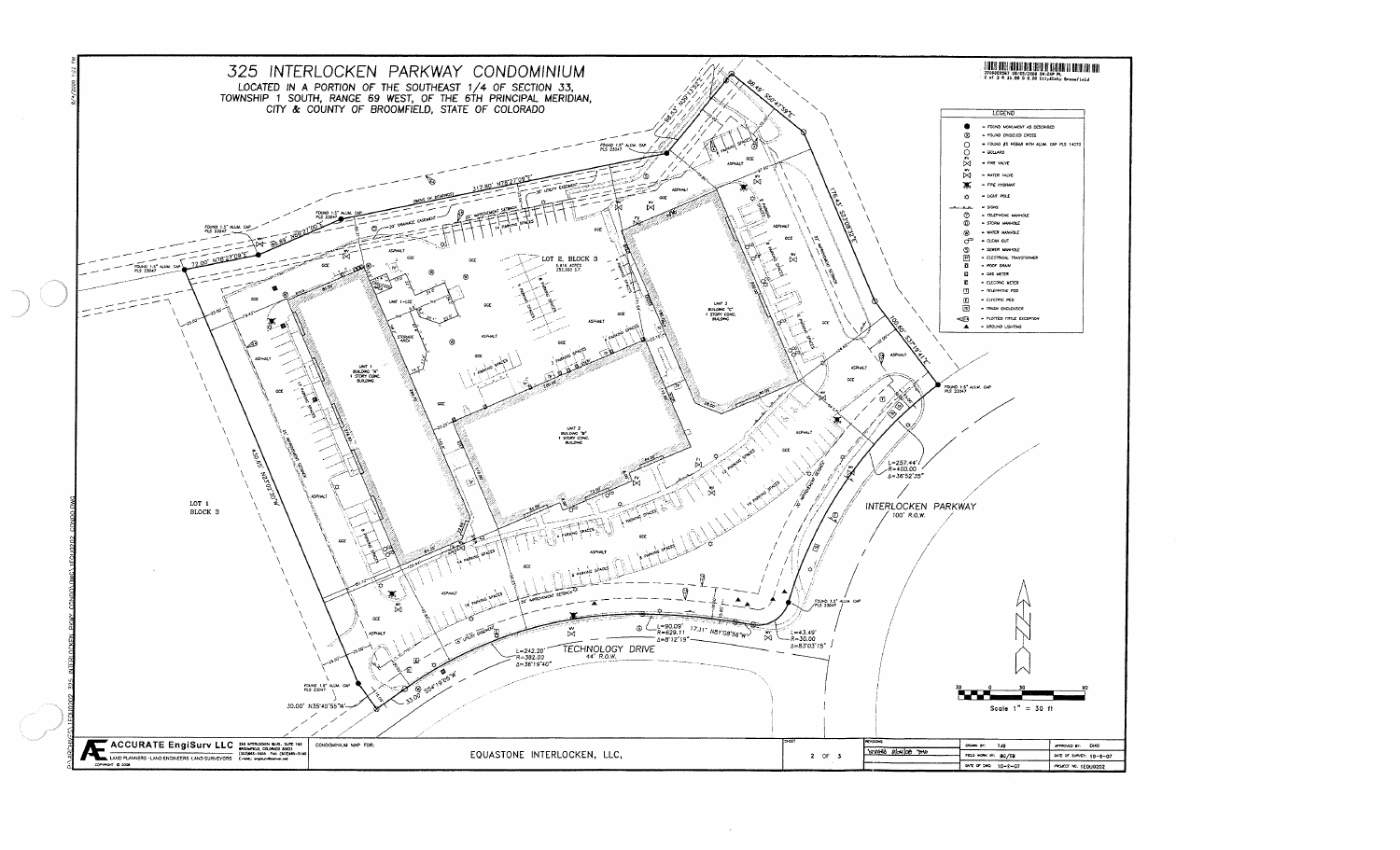

 $\omega$